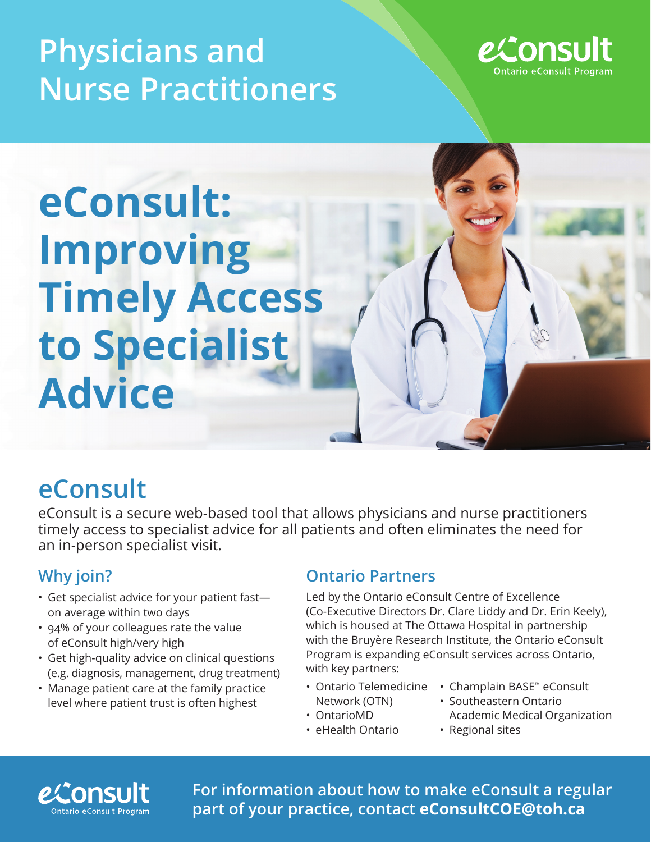## **Physicians and Nurse Practitioners**



# **eConsult: Improving Timely Access to Specialist Advice**

### **eConsult**

eConsult is a secure web-based tool that allows physicians and nurse practitioners timely access to specialist advice for all patients and often eliminates the need for an in-person specialist visit.

### **Why join?**

- Get specialist advice for your patient fast on average within two days
- 94% of your colleagues rate the value of eConsult high/very high
- Get high-quality advice on clinical questions (e.g. diagnosis, management, drug treatment)
- Manage patient care at the family practice level where patient trust is often highest

### **Ontario Partners**

Led by the Ontario eConsult Centre of Excellence (Co-Executive Directors Dr. Clare Liddy and Dr. Erin Keely), which is housed at The Ottawa Hospital in partnership with the Bruyère Research Institute, the Ontario eConsult Program is expanding eConsult services across Ontario, with key partners:

- Ontario Telemedicine Network (OTN)
- OntarioMD • eHealth Ontario
- Champlain BASE™ eConsult
- Southeastern Ontario Academic Medical Organization
- Regional sites



**For information about how to make eConsult a regular part of your practice, contact eConsultCOE@toh.ca**